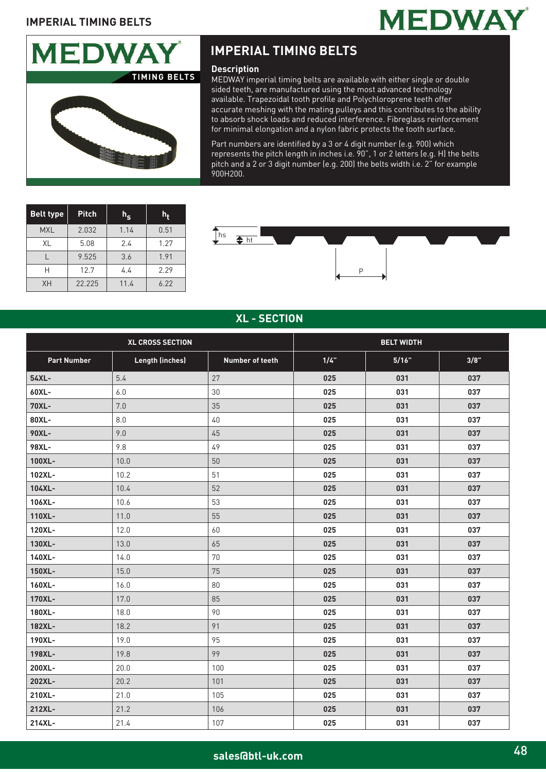



# **IMPERIAL TIMING BELTS**

#### **Description**

MEDWAY imperial timing belts are available with either single or double sided teeth, are manufactured using the most advanced technology available. Trapezoidal tooth profile and Polychloroprene teeth offer accurate meshing with the mating pulleys and this contributes to the ability to absorb shock loads and reduced interference. Fibreglass reinforcement for minimal elongation and a nylon fabric protects the tooth surface.

Part numbers are identified by a 3 or 4 digit number (e.g. 900) which represents the pitch length in inches i.e. 90", 1 or 2 letters (e.g. H) the belts pitch and a 2 or 3 digit number (e.g. 200) the belts width i.e. 2" for example 900H200.

| <b>Belt type</b> | <b>Pitch</b> | $h_{\mathbf{S}}$ | h,   |
|------------------|--------------|------------------|------|
| <b>MXL</b>       | 2.032        | 1.14             | 0.51 |
| XL               | 5.08         | 2.4              | 1.27 |
|                  | 9.525        | 3.6              | 1.91 |
| Н                | 12.7         | 4.4              | 2.29 |
| <b>XH</b>        | 22.225       | 11.4             | 6.22 |



### **XL - SECTION**

| <b>XL CROSS SECTION</b> |                        |                 | <b>BELT WIDTH</b> |       |      |
|-------------------------|------------------------|-----------------|-------------------|-------|------|
| <b>Part Number</b>      | <b>Length (inches)</b> | Number of teeth | 1/4"              | 5/16" | 3/8" |
| 54XL-                   | 5.4                    | 27              | 025               | 031   | 037  |
| 60XL-                   | $6.0$                  | 30              | 025               | 031   | 037  |
| 70XL-                   | 7.0                    | 35              | 025               | 031   | 037  |
| 80XL-                   | 8.0                    | 40              | 025               | 031   | 037  |
| 90XL-                   | 9.0                    | 45              | 025               | 031   | 037  |
| 98XL-                   | 9.8                    | 49              | 025               | 031   | 037  |
| 100XL-                  | 10.0                   | 50              | 025               | 031   | 037  |
| 102XL-                  | 10.2                   | 51              | 025               | 031   | 037  |
| 104XL-                  | 10.4                   | 52              | 025               | 031   | 037  |
| 106XL-                  | 10.6                   | 53              | 025               | 031   | 037  |
| 110XL-                  | 11.0                   | 55              | 025               | 031   | 037  |
| 120XL-                  | 12.0                   | 60              | 025               | 031   | 037  |
| 130XL-                  | 13.0                   | 65              | 025               | 031   | 037  |
| 140XL-                  | 14.0                   | 70              | 025               | 031   | 037  |
| 150XL-                  | 15.0                   | 75              | 025               | 031   | 037  |
| 160XL-                  | 16.0                   | 80              | 025               | 031   | 037  |
| 170XL-                  | 17.0                   | 85              | 025               | 031   | 037  |
| 180XL-                  | 18.0                   | 90              | 025               | 031   | 037  |
| 182XL-                  | 18.2                   | 91              | 025               | 031   | 037  |
| 190XL-                  | 19.0                   | 95              | 025               | 031   | 037  |
| 198XL-                  | 19.8                   | 99              | 025               | 031   | 037  |
| 200XL-                  | 20.0                   | 100             | 025               | 031   | 037  |
| 202XL-                  | 20.2                   | 101             | 025               | 031   | 037  |
| 210XL-                  | 21.0                   | 105             | 025               | 031   | 037  |
| 212XL-                  | 21.2                   | 106             | 025               | 031   | 037  |
| 214XL-                  | 21.4                   | 107             | 025               | 031   | 037  |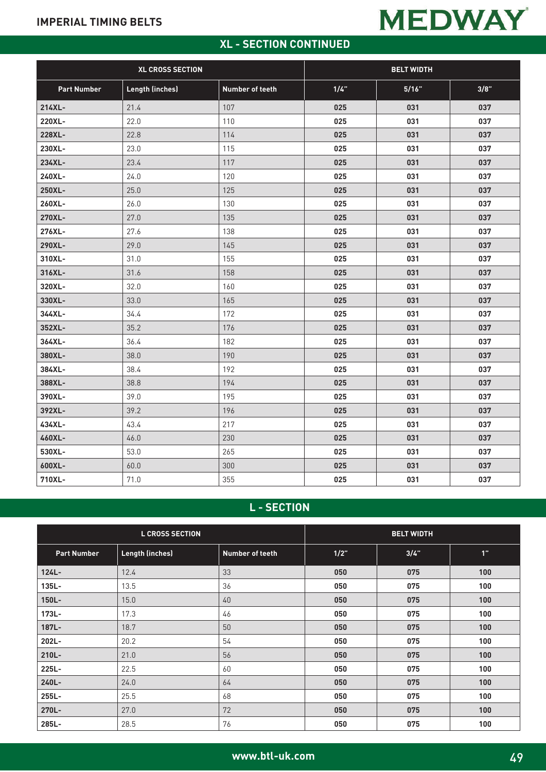# **MEDWAY**

# **XL - SECTION CONTINUED**

| <b>XL CROSS SECTION</b> |                        | <b>BELT WIDTH</b> |      |       |      |
|-------------------------|------------------------|-------------------|------|-------|------|
| <b>Part Number</b>      | <b>Length (inches)</b> | Number of teeth   | 1/4" | 5/16" | 3/8" |
| 214XL-                  | 21.4                   | 107               | 025  | 031   | 037  |
| 220XL-                  | 22.0                   | 110               | 025  | 031   | 037  |
| 228XL-                  | 22.8                   | 114               | 025  | 031   | 037  |
| 230XL-                  | 23.0                   | 115               | 025  | 031   | 037  |
| 234XL-                  | 23.4                   | 117               | 025  | 031   | 037  |
| 240XL-                  | 24.0                   | 120               | 025  | 031   | 037  |
| 250XL-                  | 25.0                   | 125               | 025  | 031   | 037  |
| 260XL-                  | 26.0                   | 130               | 025  | 031   | 037  |
| 270XL-                  | 27.0                   | 135               | 025  | 031   | 037  |
| 276XL-                  | 27.6                   | 138               | 025  | 031   | 037  |
| 290XL-                  | 29.0                   | 145               | 025  | 031   | 037  |
| 310XL-                  | 31.0                   | 155               | 025  | 031   | 037  |
| 316XL-                  | 31.6                   | 158               | 025  | 031   | 037  |
| 320XL-                  | 32.0                   | 160               | 025  | 031   | 037  |
| 330XL-                  | 33.0                   | 165               | 025  | 031   | 037  |
| 344XL-                  | 34.4                   | 172               | 025  | 031   | 037  |
| 352XL-                  | 35.2                   | 176               | 025  | 031   | 037  |
| 364XL-                  | 36.4                   | 182               | 025  | 031   | 037  |
| 380XL-                  | 38.0                   | 190               | 025  | 031   | 037  |
| 384XL-                  | 38.4                   | 192               | 025  | 031   | 037  |
| 388XL-                  | 38.8                   | 194               | 025  | 031   | 037  |
| 390XL-                  | 39.0                   | 195               | 025  | 031   | 037  |
| 392XL-                  | 39.2                   | 196               | 025  | 031   | 037  |
| 434XL-                  | 43.4                   | 217               | 025  | 031   | 037  |
| 460XL-                  | 46.0                   | 230               | 025  | 031   | 037  |
| 530XL-                  | 53.0                   | 265               | 025  | 031   | 037  |
| 600XL-                  | 60.0                   | 300               | 025  | 031   | 037  |
| 710XL-                  | 71.0                   | 355               | 025  | 031   | 037  |

## **L - SECTION**

| <b>L CROSS SECTION</b> |                        | <b>BELT WIDTH</b>      |      |      |     |
|------------------------|------------------------|------------------------|------|------|-----|
| <b>Part Number</b>     | <b>Length (inches)</b> | <b>Number of teeth</b> | 1/2" | 3/4" | 1"  |
| $124L -$               | 12.4                   | 33                     | 050  | 075  | 100 |
| 135L-                  | 13.5                   | 36                     | 050  | 075  | 100 |
| $150L -$               | 15.0                   | 40                     | 050  | 075  | 100 |
| 173L-                  | 17.3                   | 46                     | 050  | 075  | 100 |
| 187L-                  | 18.7                   | 50                     | 050  | 075  | 100 |
| 202L-                  | 20.2                   | 54                     | 050  | 075  | 100 |
| 210L-                  | 21.0                   | 56                     | 050  | 075  | 100 |
| 225L-                  | 22.5                   | 60                     | 050  | 075  | 100 |
| 240L-                  | 24.0                   | 64                     | 050  | 075  | 100 |
| 255L-                  | 25.5                   | 68                     | 050  | 075  | 100 |
| 270L-                  | 27.0                   | 72                     | 050  | 075  | 100 |
| 285L-                  | 28.5                   | 76                     | 050  | 075  | 100 |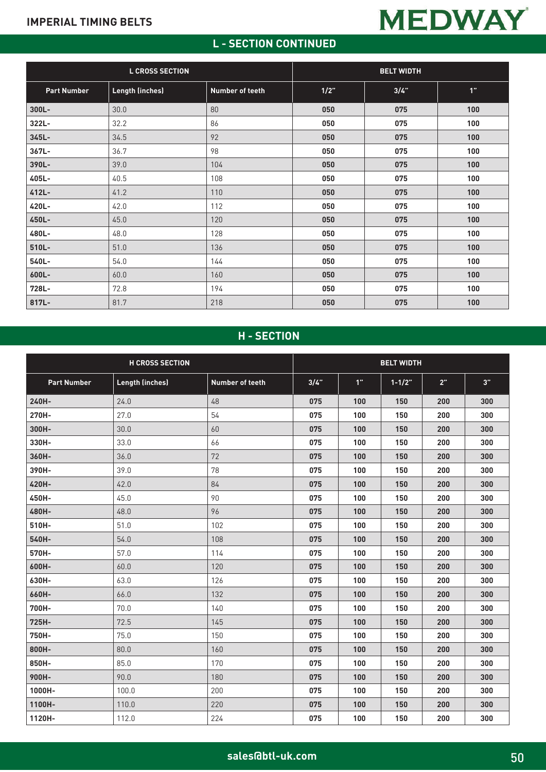# **L - SECTION CONTINUED**

**MEDWAY** 

| <b>L CROSS SECTION</b> |                        | <b>BELT WIDTH</b> |      |      |     |
|------------------------|------------------------|-------------------|------|------|-----|
| <b>Part Number</b>     | <b>Length (inches)</b> | Number of teeth   | 1/2" | 3/4" | 1"  |
| $300L -$               | 30.0                   | 80                | 050  | 075  | 100 |
| 322L-                  | 32.2                   | 86                | 050  | 075  | 100 |
| 345L-                  | 34.5                   | 92                | 050  | 075  | 100 |
| 367L-                  | 36.7                   | 98                | 050  | 075  | 100 |
| 390L-                  | 39.0                   | 104               | 050  | 075  | 100 |
| 405L-                  | 40.5                   | 108               | 050  | 075  | 100 |
| 412L-                  | 41.2                   | 110               | 050  | 075  | 100 |
| 420L-                  | 42.0                   | 112               | 050  | 075  | 100 |
| 450L-                  | 45.0                   | 120               | 050  | 075  | 100 |
| 480L-                  | 48.0                   | 128               | 050  | 075  | 100 |
| 510L-                  | 51.0                   | 136               | 050  | 075  | 100 |
| 540L-                  | 54.0                   | 144               | 050  | 075  | 100 |
| 600L-                  | 60.0                   | 160               | 050  | 075  | 100 |
| 728L-                  | 72.8                   | 194               | 050  | 075  | 100 |
| 817L-                  | 81.7                   | 218               | 050  | 075  | 100 |

## **H - SECTION**

|                    | <b>H CROSS SECTION</b> |                        |      |     | <b>BELT WIDTH</b> |     |     |
|--------------------|------------------------|------------------------|------|-----|-------------------|-----|-----|
| <b>Part Number</b> | <b>Length (inches)</b> | <b>Number of teeth</b> | 3/4" | 1"  | $1 - 1/2"$        | 2"  | 3"  |
| 240H-              | 24.0                   | 48                     | 075  | 100 | 150               | 200 | 300 |
| 270H-              | 27.0                   | 54                     | 075  | 100 | 150               | 200 | 300 |
| 300H-              | 30.0                   | 60                     | 075  | 100 | 150               | 200 | 300 |
| 330H-              | 33.0                   | 66                     | 075  | 100 | 150               | 200 | 300 |
| 360H-              | 36.0                   | 72                     | 075  | 100 | 150               | 200 | 300 |
| 390H-              | 39.0                   | 78                     | 075  | 100 | 150               | 200 | 300 |
| 420H-              | 42.0                   | 84                     | 075  | 100 | 150               | 200 | 300 |
| 450H-              | 45.0                   | 90                     | 075  | 100 | 150               | 200 | 300 |
| 480H-              | 48.0                   | 96                     | 075  | 100 | 150               | 200 | 300 |
| 510H-              | 51.0                   | 102                    | 075  | 100 | 150               | 200 | 300 |
| 540H-              | 54.0                   | 108                    | 075  | 100 | 150               | 200 | 300 |
| 570H-              | 57.0                   | 114                    | 075  | 100 | 150               | 200 | 300 |
| 600H-              | 60.0                   | 120                    | 075  | 100 | 150               | 200 | 300 |
| 630H-              | 63.0                   | 126                    | 075  | 100 | 150               | 200 | 300 |
| 660H-              | 66.0                   | 132                    | 075  | 100 | 150               | 200 | 300 |
| 700H-              | 70.0                   | 140                    | 075  | 100 | 150               | 200 | 300 |
| 725H-              | 72.5                   | 145                    | 075  | 100 | 150               | 200 | 300 |
| 750H-              | 75.0                   | 150                    | 075  | 100 | 150               | 200 | 300 |
| 800H-              | 80.0                   | 160                    | 075  | 100 | 150               | 200 | 300 |
| 850H-              | 85.0                   | 170                    | 075  | 100 | 150               | 200 | 300 |
| 900H-              | 90.0                   | 180                    | 075  | 100 | 150               | 200 | 300 |
| 1000H-             | 100.0                  | 200                    | 075  | 100 | 150               | 200 | 300 |
| 1100H-             | 110.0                  | 220                    | 075  | 100 | 150               | 200 | 300 |
| 1120H-             | 112.0                  | 224                    | 075  | 100 | 150               | 200 | 300 |

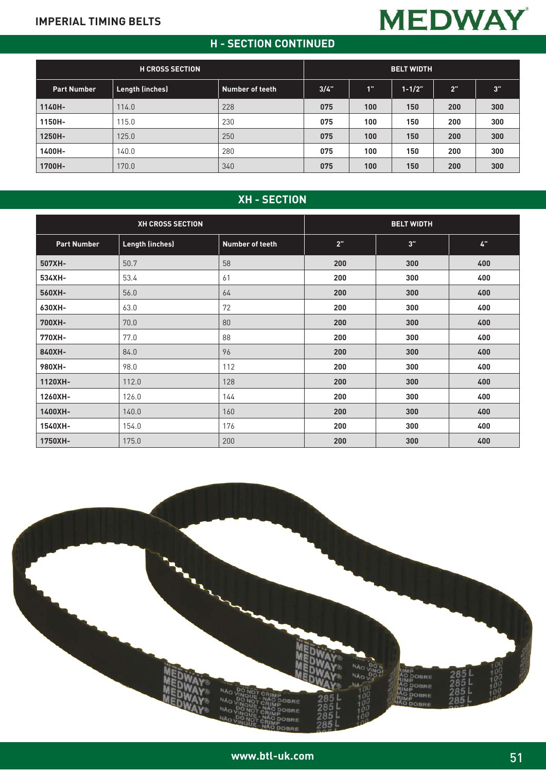## **H - SECTION CONTINUED**

**MEDWAY** 

|                        | n - JECTION CONTINUED  |                 |      |     |                   |     |     |  |
|------------------------|------------------------|-----------------|------|-----|-------------------|-----|-----|--|
| <b>H CROSS SECTION</b> |                        |                 |      |     | <b>BELT WIDTH</b> |     |     |  |
| <b>Part Number</b>     | <b>Length (inches)</b> | Number of teeth | 3/4" | 1"  | $1 - 1/2"$        | 2"  | 3"  |  |
| 1140H-                 | 114.0                  | 228             | 075  | 100 | 150               | 200 | 300 |  |
| 1150H-                 | 115.0                  | 230             | 075  | 100 | 150               | 200 | 300 |  |
| 1250H-                 | 125.0                  | 250             | 075  | 100 | 150               | 200 | 300 |  |
| 1400H-                 | 140.0                  | 280             | 075  | 100 | 150               | 200 | 300 |  |
| 1700H-                 | 170.0                  | 340             | 075  | 100 | 150               | 200 | 300 |  |

## **XH - SECTION**

| <b>XH CROSS SECTION</b> |                        | <b>BELT WIDTH</b> |     |     |     |
|-------------------------|------------------------|-------------------|-----|-----|-----|
| <b>Part Number</b>      | <b>Length (inches)</b> | Number of teeth   | 2"  | 3"  | 4"  |
| 507XH-                  | 50.7                   | 58                | 200 | 300 | 400 |
| 534XH-                  | 53.4                   | 61                | 200 | 300 | 400 |
| 560XH-                  | 56.0                   | 64                | 200 | 300 | 400 |
| 630XH-                  | 63.0                   | 72                | 200 | 300 | 400 |
| 700XH-                  | 70.0                   | 80                | 200 | 300 | 400 |
| 770XH-                  | 77.0                   | 88                | 200 | 300 | 400 |
| 840XH-                  | 84.0                   | 96                | 200 | 300 | 400 |
| 980XH-                  | 98.0                   | 112               | 200 | 300 | 400 |
| 1120XH-                 | 112.0                  | 128               | 200 | 300 | 400 |
| 1260XH-                 | 126.0                  | 144               | 200 | 300 | 400 |
| 1400XH-                 | 140.0                  | 160               | 200 | 300 | 400 |
| 1540XH-                 | 154.0                  | 176               | 200 | 300 | 400 |
| 1750XH-                 | 175.0                  | 200               | 200 | 300 | 400 |

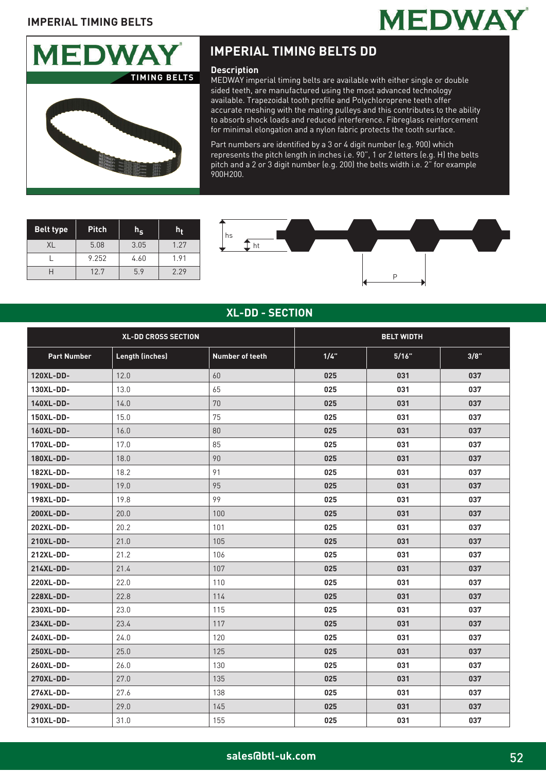



# **IMPERIAL TIMING BELTS DD**

#### **Description**

MEDWAY imperial timing belts are available with either single or double sided teeth, are manufactured using the most advanced technology available. Trapezoidal tooth profile and Polychloroprene teeth offer accurate meshing with the mating pulleys and this contributes to the ability to absorb shock loads and reduced interference. Fibreglass reinforcement for minimal elongation and a nylon fabric protects the tooth surface.

Part numbers are identified by a 3 or 4 digit number (e.g. 900) which represents the pitch length in inches i.e. 90", 1 or 2 letters (e.g. H) the belts pitch and a 2 or 3 digit number (e.g. 200) the belts width i.e. 2" for example 900H200.

| <b>Belt type</b> | <b>Pitch</b> |      |      |
|------------------|--------------|------|------|
| XL               | 5.08         | 3.05 | 1.27 |
|                  | 9.252        | 4.60 | 1.91 |
|                  | 12.7         | 5.9  | 2.29 |



#### **XL-DD - SECTION**

| <b>XL-DD CROSS SECTION</b> |                        | <b>BELT WIDTH</b>      |      |       |      |
|----------------------------|------------------------|------------------------|------|-------|------|
| <b>Part Number</b>         | <b>Length (inches)</b> | <b>Number of teeth</b> | 1/4" | 5/16" | 3/8" |
| 120XL-DD-                  | 12.0                   | 60                     | 025  | 031   | 037  |
| 130XL-DD-                  | 13.0                   | 65                     | 025  | 031   | 037  |
| 140XL-DD-                  | 14.0                   | 70                     | 025  | 031   | 037  |
| 150XL-DD-                  | 15.0                   | 75                     | 025  | 031   | 037  |
| 160XL-DD-                  | 16.0                   | 80                     | 025  | 031   | 037  |
| 170XL-DD-                  | 17.0                   | 85                     | 025  | 031   | 037  |
| 180XL-DD-                  | 18.0                   | 90                     | 025  | 031   | 037  |
| 182XL-DD-                  | 18.2                   | 91                     | 025  | 031   | 037  |
| 190XL-DD-                  | 19.0                   | 95                     | 025  | 031   | 037  |
| 198XL-DD-                  | 19.8                   | 99                     | 025  | 031   | 037  |
| 200XL-DD-                  | 20.0                   | 100                    | 025  | 031   | 037  |
| 202XL-DD-                  | 20.2                   | 101                    | 025  | 031   | 037  |
| 210XL-DD-                  | 21.0                   | 105                    | 025  | 031   | 037  |
| 212XL-DD-                  | 21.2                   | 106                    | 025  | 031   | 037  |
| 214XL-DD-                  | 21.4                   | 107                    | 025  | 031   | 037  |
| 220XL-DD-                  | 22.0                   | 110                    | 025  | 031   | 037  |
| 228XL-DD-                  | 22.8                   | 114                    | 025  | 031   | 037  |
| 230XL-DD-                  | 23.0                   | 115                    | 025  | 031   | 037  |
| 234XL-DD-                  | 23.4                   | 117                    | 025  | 031   | 037  |
| 240XL-DD-                  | 24.0                   | 120                    | 025  | 031   | 037  |
| 250XL-DD-                  | 25.0                   | 125                    | 025  | 031   | 037  |
| 260XL-DD-                  | 26.0                   | 130                    | 025  | 031   | 037  |
| 270XL-DD-                  | 27.0                   | 135                    | 025  | 031   | 037  |
| 276XL-DD-                  | 27.6                   | 138                    | 025  | 031   | 037  |
| 290XL-DD-                  | 29.0                   | 145                    | 025  | 031   | 037  |
| 310XL-DD-                  | 31.0                   | 155                    | 025  | 031   | 037  |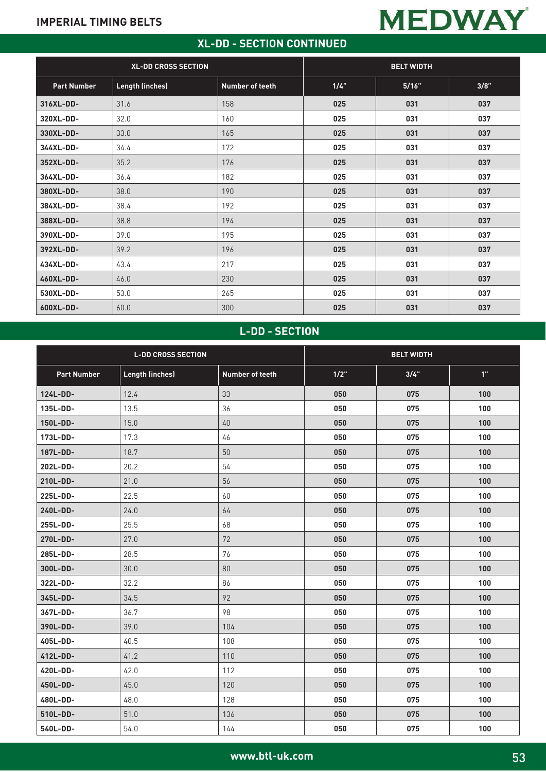## **XL-DD - SECTION CONTINUED**

**MEDWAY** 

| <b>XL-DD CROSS SECTION</b> |                        | <b>BELT WIDTH</b> |      |       |      |
|----------------------------|------------------------|-------------------|------|-------|------|
| <b>Part Number</b>         | <b>Length (inches)</b> | Number of teeth   | 1/4" | 5/16" | 3/8" |
| 316XL-DD-                  | 31.6                   | 158               | 025  | 031   | 037  |
| 320XL-DD-                  | 32.0                   | 160               | 025  | 031   | 037  |
| 330XL-DD-                  | 33.0                   | 165               | 025  | 031   | 037  |
| 344XL-DD-                  | 34.4                   | 172               | 025  | 031   | 037  |
| 352XL-DD-                  | 35.2                   | 176               | 025  | 031   | 037  |
| 364XL-DD-                  | 36.4                   | 182               | 025  | 031   | 037  |
| 380XL-DD-                  | 38.0                   | 190               | 025  | 031   | 037  |
| 384XL-DD-                  | 38.4                   | 192               | 025  | 031   | 037  |
| 388XL-DD-                  | 38.8                   | 194               | 025  | 031   | 037  |
| 390XL-DD-                  | 39.0                   | 195               | 025  | 031   | 037  |
| 392XL-DD-                  | 39.2                   | 196               | 025  | 031   | 037  |
| 434XL-DD-                  | 43.4                   | 217               | 025  | 031   | 037  |
| 460XL-DD-                  | 46.0                   | 230               | 025  | 031   | 037  |
| 530XL-DD-                  | 53.0                   | 265               | 025  | 031   | 037  |
| 600XL-DD-                  | 60.0                   | 300               | 025  | 031   | 037  |

# **L-DD - SECTION**

| <b>L-DD CROSS SECTION</b> |                        |                        | <b>BELT WIDTH</b> |      |     |
|---------------------------|------------------------|------------------------|-------------------|------|-----|
| <b>Part Number</b>        | <b>Length (inches)</b> | <b>Number of teeth</b> | $1/2$ "           | 3/4" | 1"  |
| 124L-DD-                  | 12.4                   | 33                     | 050               | 075  | 100 |
| 135L-DD-                  | 13.5                   | 36                     | 050               | 075  | 100 |
| 150L-DD-                  | 15.0                   | 40                     | 050               | 075  | 100 |
| 173L-DD-                  | 17.3                   | 46                     | 050               | 075  | 100 |
| 187L-DD-                  | 18.7                   | 50                     | 050               | 075  | 100 |
| 202L-DD-                  | 20.2                   | 54                     | 050               | 075  | 100 |
| 210L-DD-                  | 21.0                   | 56                     | 050               | 075  | 100 |
| 225L-DD-                  | 22.5                   | 60                     | 050               | 075  | 100 |
| 240L-DD-                  | 24.0                   | 64                     | 050               | 075  | 100 |
| 255L-DD-                  | 25.5                   | 68                     | 050               | 075  | 100 |
| 270L-DD-                  | 27.0                   | 72                     | 050               | 075  | 100 |
| 285L-DD-                  | 28.5                   | 76                     | 050               | 075  | 100 |
| 300L-DD-                  | 30.0                   | 80                     | 050               | 075  | 100 |
| 322L-DD-                  | 32.2                   | 86                     | 050               | 075  | 100 |
| 345L-DD-                  | 34.5                   | 92                     | 050               | 075  | 100 |
| 367L-DD-                  | 36.7                   | 98                     | 050               | 075  | 100 |
| 390L-DD-                  | 39.0                   | 104                    | 050               | 075  | 100 |
| 405L-DD-                  | 40.5                   | 108                    | 050               | 075  | 100 |
| 412L-DD-                  | 41.2                   | 110                    | 050               | 075  | 100 |
| 420L-DD-                  | 42.0                   | 112                    | 050               | 075  | 100 |
| 450L-DD-                  | 45.0                   | 120                    | 050               | 075  | 100 |
| 480L-DD-                  | 48.0                   | 128                    | 050               | 075  | 100 |
| 510L-DD-                  | 51.0                   | 136                    | 050               | 075  | 100 |
| 540L-DD-                  | 54.0                   | 144                    | 050               | 075  | 100 |